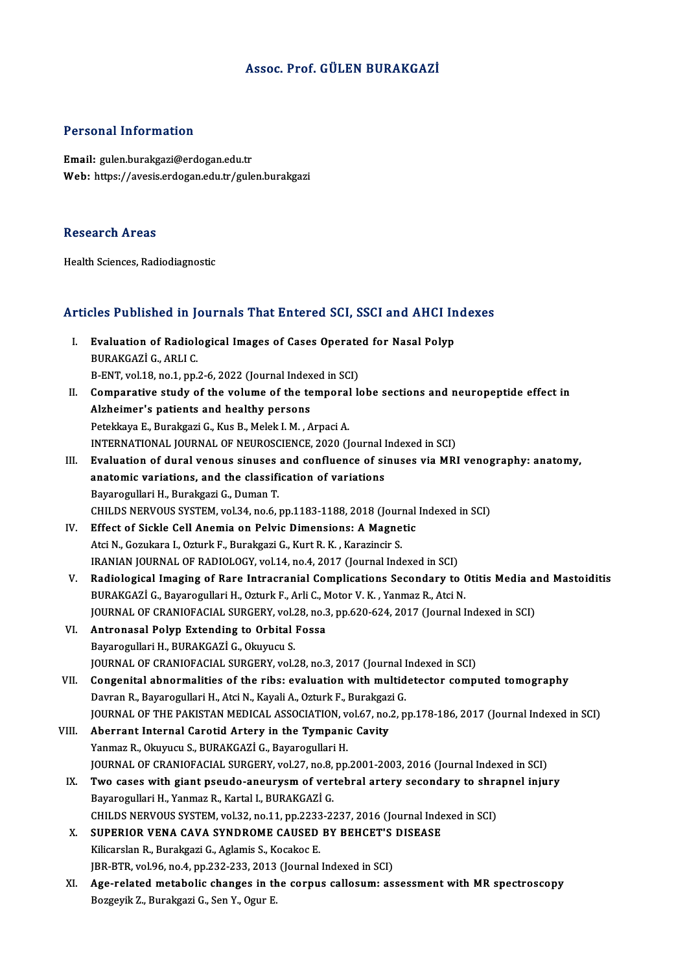#### Assoc. Prof. GÜLEN BURAKGAZİ

#### Personal Information

Email: gulen.burakgazi@erdogan.edu.tr Web: https://avesis.erdogan.edu.tr/gulen.burakgazi

#### Research Areas

Health Sciences, Radiodiagnostic

# neam sciences, Radiodiagnosuc<br>Articles Published in Journals That Entered SCI, SSCI and AHCI Indexes

- rticles Published in Journals That Entered SCI, SSCI and AHCI In<br>I. Evaluation of Radiological Images of Cases Operated for Nasal Polyp BURAKGAZİ G., ARLIC.<br>BURAKGAZİ G., ARLI C.<br>B. ENT. vol 19. po 1. pp. Evaluation of Radiological Images of Cases Operate<br>BURAKGAZİ G., ARLI C.<br>B-ENT, vol.18, no.1, pp.2-6, 2022 (Journal Indexed in SCI)<br>Comparative study of the volume of the temperal l BURAKGAZİ G., ARLI C.<br>B-ENT, vol.18, no.1, pp.2-6, 2022 (Journal Indexed in SCI)<br>II. Comparative study of the volume of the temporal lobe sections and neuropeptide effect in<br>Alshaimar's patients and healthy persons
- B-ENT, vol.18, no.1, pp.2-6, 2022 (Journal Indexed in SCI)<br>Comparative study of the volume of the temporal l<br>Alzheimer's patients and healthy persons<br>Petekkaya E., Burakgazi G., Kus B., Melek I. M., Arpaci A. Comparative study of the volume of the temporal<br>Alzheimer's patients and healthy persons<br>Petekkaya E., Burakgazi G., Kus B., Melek I. M. , Arpaci A.<br>INTERNATIONAL JOURNAL OF NEUROSCIENCE 2020 (I Alzheimer's patients and healthy persons<br>Petekkaya E., Burakgazi G., Kus B., Melek I. M. , Arpaci A.<br>INTERNATIONAL JOURNAL OF NEUROSCIENCE, 2020 (Journal Indexed in SCI)<br>Evaluation of dural voneus sinuses and sonfluence of III. Evaluation of dural venous sinuses and confluence of sinuses via MRI venography: anatomy,<br>anatomic variations. and the classification of variations INTERNATIONAL JOURNAL OF NEUROSCIENCE, 2020 (Journal I<br>Evaluation of dural venous sinuses and confluence of si<br>anatomic variations, and the classification of variations<br>Payarogullari H. Purakgazi C. Duman T. Bayarogullari H., Burakgazi G., Duman T. anatomic variations, and the classification of variations<br>Bayarogullari H., Burakgazi G., Duman T.<br>CHILDS NERVOUS SYSTEM, vol.34, no.6, pp.1183-1188, 2018 (Journal Indexed in SCI)<br>Effect of Sickle Coll Anemia on Bolvis Dim Bayarogullari H., Burakgazi G., Duman T.<br>CHILDS NERVOUS SYSTEM, vol.34, no.6, pp.1183-1188, 2018 (Journal<br>IV. Effect of Sickle Cell Anemia on Pelvic Dimensions: A Magnetic<br>Atsi N. Corultors J. Orturk E. Burakgari C. Kurt B CHILDS NERVOUS SYSTEM, vol.34, no.6, pp.1183-1188, 2018 (Journal Septect of Sickle Cell Anemia on Pelvic Dimensions: A Magne<br>Atci N., Gozukara I., Ozturk F., Burakgazi G., Kurt R. K. , Karazincir S.<br>IRANJAN JOURNAL OF RADJ Effect of Sickle Cell Anemia on Pelvic Dimensions: A Magnetic<br>Atci N., Gozukara I., Ozturk F., Burakgazi G., Kurt R. K., Karazincir S.<br>IRANIAN JOURNAL OF RADIOLOGY, vol.14, no.4, 2017 (Journal Indexed in SCI)<br>Padiological Atci N., Gozukara I., Ozturk F., Burakgazi G., Kurt R. K., Karazincir S.<br>IRANIAN JOURNAL OF RADIOLOGY, vol.14, no.4, 2017 (Journal Indexed in SCI)<br>V. Radiological Imaging of Rare Intracranial Complications Secondary to Oti IRANIAN JOURNAL OF RADIOLOGY, vol.14, no.4, 2017 (Journal Indexed in SCI)<br>Radiological Imaging of Rare Intracranial Complications Secondary to (<br>BURAKGAZİ G., Bayarogullari H., Ozturk F., Arli C., Motor V. K. , Yanmaz R., Radiological Imaging of Rare Intracranial Complications Secondary to Otitis Media an<br>BURAKGAZİ G., Bayarogullari H., Ozturk F., Arli C., Motor V. K. , Yanmaz R., Atci N.<br>JOURNAL OF CRANIOFACIAL SURGERY, vol.28, no.3, pp.62 BURAKGAZİ G., Bayarogullari H., Ozturk F., Arli C., Motor V. K. , Yanmaz R., Atci N.<br>JOURNAL OF CRANIOFACIAL SURGERY, vol.28, no.3, pp.620-624, 2017 (Journal I<br>VI. Antronasal Polyp Extending to Orbital Fossa<br>Bayarogullari JOURNAL OF CRANIOFACIAL SURGERY, vol.28, no.3, pp.620-624, 2017 (Journal Indexed in SCI) Antronasal Polyp Extending to Orbital Fossa<br>Bayarogullari H., BURAKGAZİ G., Okuyucu S.<br>JOURNAL OF CRANIOFACIAL SURGERY, vol.28, no.3, 2017 (Journal Indexed in SCI)<br>Consenitel abnormalities of the ribe: evaluation with mult VII. Congenital abnormalities of the ribs: evaluation with multidetector computed tomography<br>Davran R., Bayarogullari H., Atci N., Kayali A., Ozturk F., Burakgazi G. JOURNAL OF CRANIOFACIAL SURGERY, vol.28, no.3, 2017 (Journal I<br>Congenital abnormalities of the ribs: evaluation with multid<br>Davran R., Bayarogullari H., Atci N., Kayali A., Ozturk F., Burakgazi G.<br>JOUPNAL OF THE RAKISTAN M JOURNAL OF THE PAKISTAN MEDICAL ASSOCIATION, vol.67, no.2, pp.178-186, 2017 (Journal Indexed in SCI) VIII. Aberrant Internal Carotid Artery in the Tympanic Cavity Yanmaz R., Okuyucu S., BURAKGAZİ G., Bayarogullari H. JOURNALOF CRANIOFACIAL SURGERY,vol.27,no.8,pp.2001-2003,2016 (Journal Indexed inSCI) Yanmaz R., Okuyucu S., BURAKGAZİ G., Bayarogullari H.<br>JOURNAL OF CRANIOFACIAL SURGERY, vol.27, no.8, pp.2001-2003, 2016 (Journal Indexed in SCI)<br>IX. Two cases with giant pseudo-aneurysm of vertebral artery secondary to shr JOURNAL OF CRANIOFACIAL SURGERY, vol.27, no.8,<br>Two cases with giant pseudo-aneurysm of ver<br>Bayarogullari H., Yanmaz R., Kartal I., BURAKGAZİ G.<br>CHU DS NEPVOUS SYSTEM vol.22, no.11, np.2222, 23 Two cases with giant pseudo-aneurysm of vertebral artery secondary to shra<br>Bayarogullari H., Yanmaz R., Kartal I., BURAKGAZİ G.<br>CHILDS NERVOUS SYSTEM, vol.32, no.11, pp.2233-2237, 2016 (Journal Indexed in SCI)<br>SUBERIOR VEN Bayarogullari H., Yanmaz R., Kartal I., BURAKGAZİ G.<br>CHILDS NERVOUS SYSTEM, vol.32, no.11, pp.2233-2237, 2016 (Journal Inde<br>X. SUPERIOR VENA CAVA SYNDROME CAUSED BY BEHCET'S DISEASE<br>Kiligardan B. Burgkgazi G. Aglamis S. Ko CHILDS NERVOUS SYSTEM, vol.32, no.11, pp.2233-2237, 2016 (Journal Indexed in SCI)<br>SUPERIOR VENA CAVA SYNDROME CAUSED BY BEHCET'S DISEASE<br>Kilicarslan R., Burakgazi G., Aglamis S., Kocakoc E. SUPERIOR VENA CAVA SYNDROME CAUSED BY BEHCET'S<br>Kilicarslan R., Burakgazi G., Aglamis S., Kocakoc E.<br>JBR-BTR, vol.96, no.4, pp.232-233, 2013 (Journal Indexed in SCI)<br>Age related metabolis shanges in the sernus sellecum: es XI. Age-related metabolic changes in the corpus callosum: assessment with MR spectroscopy<br>Bozgeyik Z., Burakgazi G., Sen Y., Ogur E. JBR-BTR, vol 96, no.4, pp.232-233, 2013 (Journal Indexed in SCI)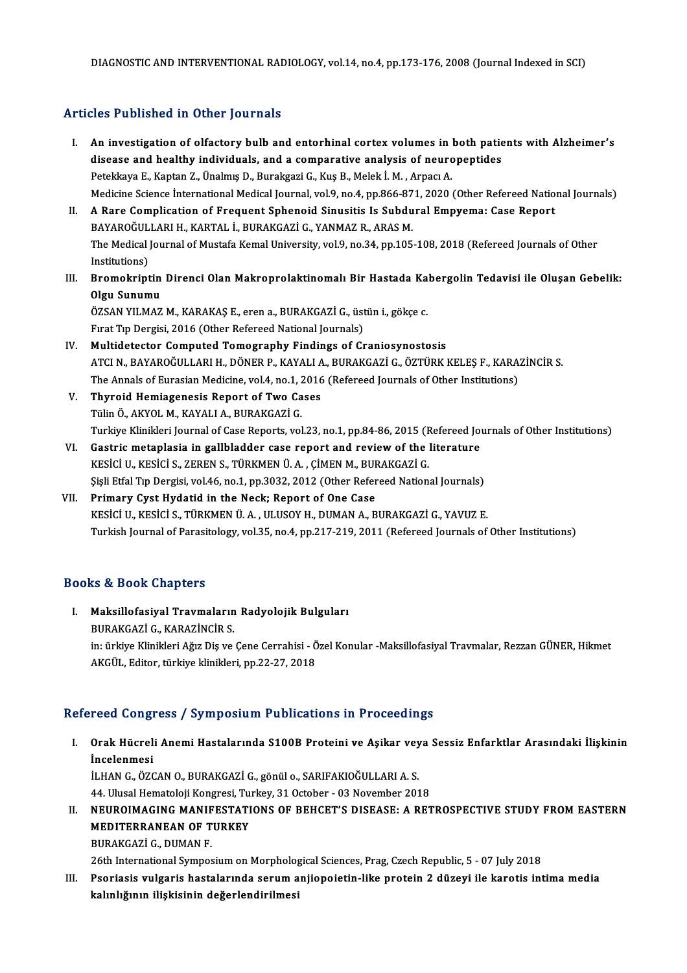### Articles Published in Other Journals

- I. An investigation of olfactory bulb and entorhinal cortex volumes in both patients with Alzheimer's<br>I. An investigation of olfactory bulb and entorhinal cortex volumes in both patients with Alzheimer's<br>disease and bealth An investigation of olfactory bulb and entorhinal cortex volumes in both patie<br>disease and healthy individuals, and a comparative analysis of neuropeptides<br>Retakious E. Kantan Z. Ünalmış D. Buraksari G. Kus B. Malak İ. M. An investigation of olfactory bulb and entorhinal cortex volumes in disease and healthy individuals, and a comparative analysis of neuro<br>Petekkaya E., Kaptan Z., Ünalmış D., Burakgazi G., Kuş B., Melek İ.M. , Arpacı A.<br>Med disease and healthy individuals, and a comparative analysis of neuropeptides<br>Petekkaya E., Kaptan Z., Ünalmış D., Burakgazi G., Kuş B., Melek İ. M. , Arpacı A.<br>Medicine Science İnternational Medical Journal, vol.9, no.4, p Petekkaya E., Kaptan Z., Ünalmış D., Burakgazi G., Kuş B., Melek İ. M. , Arpacı A.<br>Medicine Science İnternational Medical Journal, vol.9, no.4, pp.866-871, 2020 (Other Refereed Natio<br>II. A Rare Complication of Frequent Sph
- Medicine Science İnternational Medical Journal, vol.9, no.4, pp.866-87<br>A Rare Complication of Frequent Sphenoid Sinusitis Is Subdu<br>BAYAROĞULLARI H., KARTAL İ., BURAKGAZİ G., YANMAZ R., ARAS M.<br>The Medical Journal of Mustaf A Rare Complication of Frequent Sphenoid Sinusitis Is Subdural Empyema: Case Report<br>BAYAROĞULLARI H., KARTAL İ., BURAKGAZİ G., YANMAZ R., ARAS M.<br>The Medical Journal of Mustafa Kemal University, vol.9, no.34, pp.105-108, 2 BAYAROĞUL<br>The Medical<br>Institutions)<br>Promokrint The Medical Journal of Mustafa Kemal University, vol.9, no.34, pp.105-108, 2018 (Refereed Journals of Other<br>Institutions)<br>III. Bromokriptin Direnci Olan Makroprolaktinomalı Bir Hastada Kabergolin Tedavisi ile Oluşan Gebeli
- Institutions)<br>Bromokriptin<br>Olgu Sunumu<br>ÖZSAN VILMAZ Bromokriptin Direnci Olan Makroprolaktinomalı Bir Hastada Ka<br>Olgu Sunumu<br>ÖZSAN YILMAZ M., KARAKAŞ E., eren a., BURAKGAZİ G., üstün i., gökçe c.<br>Evret Tın Dorgisi. 201*6 (O*thor Beforeed National Journale)

Olgu Sunumu<br>ÖZSAN YILMAZ M., KARAKAŞ E., eren a., BURAKGAZİ G., üstün i., gökçe c.<br>Fırat Tıp Dergisi, 2016 (Other Refereed National Journals)

- IV. Multidetector Computed Tomography Findings of Craniosynostosis Fırat Tıp Dergisi, 2016 (Other Refereed National Journals)<br>Multidetector Computed Tomography Findings of Craniosynostosis<br>ATCI N., BAYAROĞULLARI H., DÖNER P., KAYALI A., BURAKGAZİ G., ÖZTÜRK KELEŞ F., KARAZİNCİR S.<br>The Ann Multidetector Computed Tomography Findings of Craniosynostosis<br>ATCI N., BAYAROĞULLARI H., DÖNER P., KAYALI A., BURAKGAZİ G., ÖZTÜRK KELEŞ F., KARA!<br>The Annals of Eurasian Medicine, vol.4, no.1, 2016 (Refereed Journals of O The Annals of Eurasian Medicine, vol.4, no.1, 2016 (Refereed Journals of Other Institutions)
- V. Thyroid Hemiagenesis Report of Two Cases Turkiye Klinikleri Journal of Case Reports, vol.23, no.1, pp.84-86, 2015 (Refereed Journals of Other Institutions)
- VI. Gastric metaplasia in gallbladder case report and review of the literature KESİCİ U., KESİCİ S., ZEREN S., TÜRKMEN Ü. A., ÇİMEN M., BURAKGAZİ G. Gastric metaplasia in gallbladder case report and review of the literature<br>KESİCİ U., KESİCİ S., ZEREN S., TÜRKMEN Ü. A. , ÇİMEN M., BURAKGAZİ G.<br>Şişli Etfal Tıp Dergisi, vol.46, no.1, pp.3032, 2012 (Other Refereed Nationa
- VII. Primary Cyst Hydatid in the Neck; Report of One Case<br>KESICI U., KESICI S., TÜRKMEN Ü. A., ULUSOY H., DUMAN A., BURAKGAZI G., YAVUZ E. Şişli Etfal Tıp Dergisi, vol.46, no.1, pp.3032, 2012 (Other Refereed National Journals)<br>Primary Cyst Hydatid in the Neck; Report of One Case<br>KESİCİ U., KESİCİ S., TÜRKMEN Ü.A. , ULUSOY H., DUMAN A., BURAKGAZİ G., YAVUZ E.<br> Turkish Journal of Parasitology, vol.35, no.4, pp.217-219, 2011 (Refereed Journals of Other Institutions)

#### Books&Book Chapters

ooks & Book Chapters<br>I. Maksillofasiyal Travmaların Radyolojik Bulguları<br>RIIRAKÇAZİ G. KARAZİNÇİR S tə & Doon onaptors<br>Maksillofasiyal Travmaların<br>BURAKGAZİ G., KARAZİNCİR S.<br>in ürkiye Klinikleri Ağız Diş ve Maksillofasiyal Travmaların Radyolojik Bulguları<br>BURAKGAZİ G., KARAZİNCİR S.<br>in: ürkiye Klinikleri Ağız Diş ve Çene Cerrahisi - Özel Konular -Maksillofasiyal Travmalar, Rezzan GÜNER, Hikmet<br>AKÇÜL, Editor, türkiye klinikler BURAKGAZİ G., KARAZİNCİR S.<br>in: ürkiye Klinikleri Ağız Diş ve Çene Cerrahisi - Ö<br>AKGÜL, Editor, türkiye klinikleri, pp.22-27, 2018

## AKGÜL, Editor, türkiye klinikleri, pp.22-27, 2018<br>Refereed Congress / Symposium Publications in Proceedings

efereed Congress / Symposium Publications in Proceedings<br>I. Orak Hücreli Anemi Hastalarında S100B Proteini ve Aşikar veya Sessiz Enfarktlar Arasındaki İlişkinin<br>İngelenmesi Incelenmesi<br>İncelenmesi<br>İncelenmesi Orak Hücreli Anemi Hastalarında S100B Proteini ve Aşikar vey<br>İncelenmesi<br>İLHAN G., ÖZCAN O., BURAKGAZİ G., gönül o., SARIFAKIOĞULLARI A. S.<br>44 Hlucel Hematoleji Kongresi Turkey 31 Osteber, 03 Nevember 201 İncelenmesi<br>İLHAN G., ÖZCAN O., BURAKGAZİ G., gönül o., SARIFAKIOĞULLARI A. S.<br>44. Ulusal Hematoloji Kongresi, Turkey, 31 October - 03 November 2018<br>NEUROJMACING MANIEESTATIONS OE REHGET'S DISEASE: A RET

ILHAN G., ÖZCAN O., BURAKGAZİ G., gönül o., SARIFAKIOĞULLARI A. S.<br>44. Ulusal Hematoloji Kongresi, Turkey, 31 October - 03 November 2018<br>II. NEUROIMAGING MANIFESTATIONS OF BEHCET'S DISEASE: A RETROSPECTIVE STUDY FROM EASTE 44. Ulusal Hematoloji Kongresi, Turkey, 31 October - 03 November 2018<br>NEUROIMAGING MANIFESTATIONS OF BEHCET'S DISEASE: A RET<br>MEDITERRANEAN OF TURKEY<br>BURAKGAZI G.. DUMAN F. NEUROIMAGING MANIF<br>MEDITERRANEAN OF T<br>BURAKGAZİ G., DUMAN F.<br>26th International Sumnes

26th International Symposium on Morphological Sciences, Prag, Czech Republic, 5 - 07 July 2018

BURAKGAZİ G., DUMAN F.<br>26th International Symposium on Morphological Sciences, Prag, Czech Republic, 5 - 07 July 2018<br>III. Psoriasis vulgaris hastalarında serum anjiopoietin-like protein 2 düzeyi ile karotis intima media<br>I 26th International Symposium on Morpholog<br>Psoriasis <mark>vulgaris hastalarında serum a</mark><br>kalınlığının ilişkisinin değerlendirilmesi